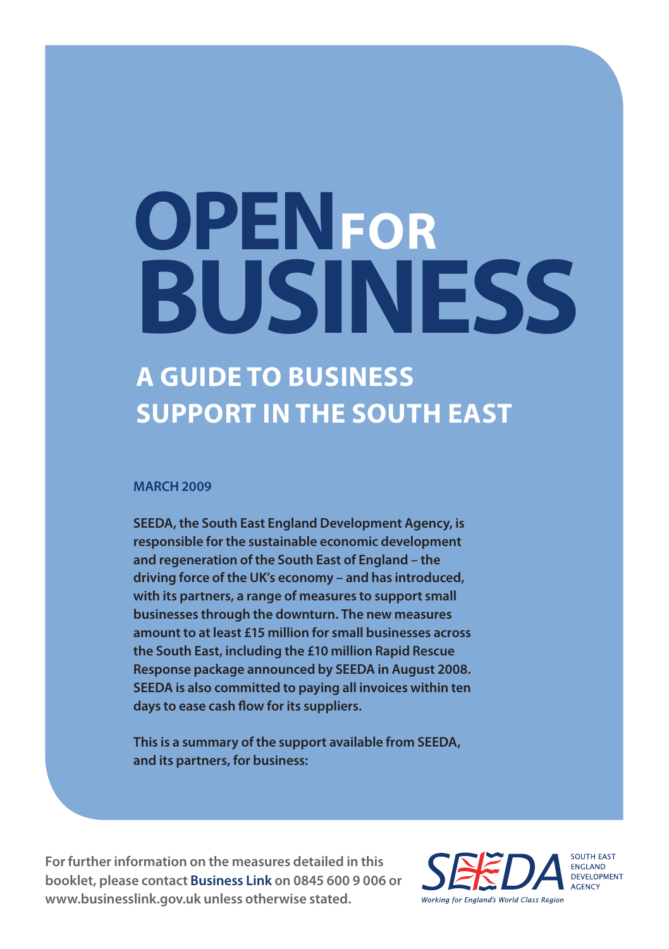# **OPEN FORBUSINESS**

### **A Guide to Business Support in the South East**

### **MARCH 2009**

**SEEDA, the South East England Development Agency, is responsible for the sustainable economic development and regeneration of the South East of England – the driving force of the UK's economy – and has introduced, with its partners, a range of measures to support small businesses through the downturn. The new measures amount to at least £15 million for small businesses across the South East, including the £10 million Rapid Rescue Response package announced by SEEDA in August 2008. SEEDA is also committed to paying all invoices within ten days to ease cash flow for its suppliers.**

**This is a summary of the support available from SEEDA, and its partners, for business:**

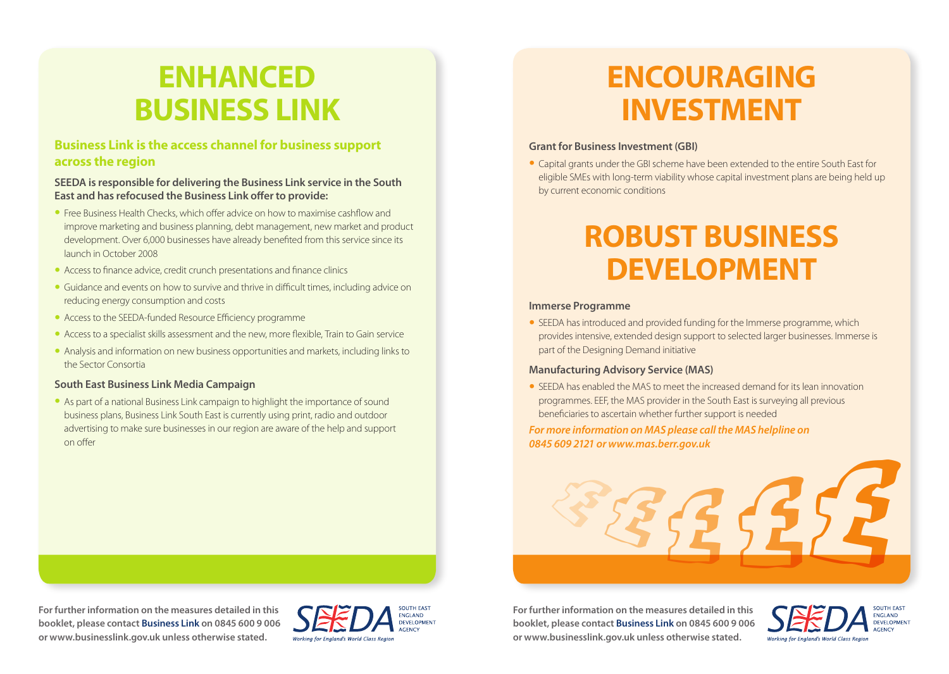## **ENHANCED BUSINESS LINK**

### **Business Link is the access channel for business support across the region**

### **SEEDA is responsible for delivering the Business Link service in the South East and has refocused the Business Link offer to provide:**

- Free Business Health Checks, which offer advice on how to maximise cashflow and improve marketing and business planning, debt management, new market and product development. Over 6,000 businesses have already benefited from this service since its launch in October 2008
- Access to finance advice, credit crunch presentations and finance clinics
- Guidance and events on how to survive and thrive in difficult times, including advice on reducing energy consumption and costs
- Access to the SEEDA-funded Resource Efficiency programme
- Access to a specialist skills assessment and the new, more flexible. Train to Gain service
- Analysis and information on new business opportunities and markets, including links to the Sector Consortia

### **South East Business Link Media Campaign**

• As part of a national Business Link campaign to highlight the importance of sound business plans, Business Link South East is currently using print, radio and outdoor advertising to make sure businesses in our region are aware of the help and support on offer

## **ENCOURAGING INVESTMENT**

### **Grant for Business Investment (GBI)**

• Capital grants under the GBI scheme have been extended to the entire South East for eligible SMEs with long-term viability whose capital investment plans are being held up by current economic conditions

## **ROBUST BUSINESS DEVELOPMENT**

### **Immerse Programme**

• SEEDA has introduced and provided funding for the Immerse programme, which provides intensive, extended design support to selected larger businesses. Immerse is part of the Designing Demand initiative

### **Manufacturing Advisory Service (MAS)**

• SEEDA has enabled the MAS to meet the increased demand for its lean innovation programmes. EEF, the MAS provider in the South East is surveying all previous beneficiaries to ascertain whether further support is needed

### *For more information on MAS please call the MAS helpline on 0845 609 2121 or www.mas.berr.gov.uk*



**For further information on the measures detailed in this booklet, please contact Business Link on 0845 600 9 006 or www.businesslink.gov.uk unless otherwise stated.**



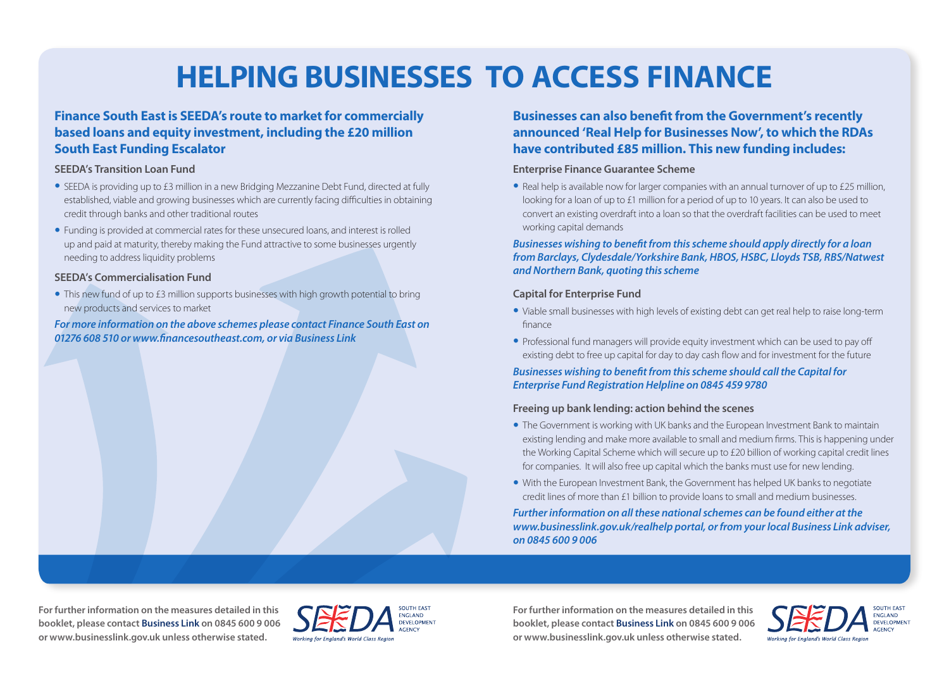## **HELPING BUSINESSES TO ACCESS FINANCE**

### **Finance South East is SEEDA's route to market for commercially based loans and equity investment, including the £20 million South East Funding Escalator**

### **SEEDA's Transition Loan Fund**

- SEEDA is providing up to £3 million in a new Bridging Mezzanine Debt Fund, directed at fully established, viable and growing businesses which are currently facing difficulties in obtaining credit through banks and other traditional routes
- Funding is provided at commercial rates for these unsecured loans, and interest is rolled up and paid at maturity, thereby making the Fund attractive to some businesses urgently needing to address liquidity problems

### **SEEDA's Commercialisation Fund**

• This new fund of up to £3 million supports businesses with high growth potential to bring new products and services to market

*For more information on the above schemes please contact Finance South East on 01276 608 510 or www.financesoutheast.com, or via Business Link*

### **Businesses can also benefit from the Government's recently announced 'Real Help for Businesses Now', to which the RDAs have contributed £85 million. This new funding includes:**

### **Enterprise Finance Guarantee Scheme**

• Real help is available now for larger companies with an annual turnover of up to £25 million, looking for a loan of up to £1 million for a period of up to 10 years. It can also be used to convert an existing overdraft into a loan so that the overdraft facilities can be used to meet working capital demands

### *Businesses wishing to benefit from this scheme should apply directly for a loan from Barclays, Clydesdale/Yorkshire Bank, HBOS, HSBC, Lloyds TSB, RBS/Natwest and Northern Bank, quoting this scheme*

### **Capital for Enterprise Fund**

- Viable small businesses with high levels of existing debt can get real help to raise long-term finance
- Professional fund managers will provide equity investment which can be used to pay off existing debt to free up capital for day to day cash flow and for investment for the future

### *Businesses wishing to benefit from this scheme should call the Capital for Enterprise Fund Registration Helpline on 0845 459 9780*

### **Freeing up bank lending: action behind the scenes**

- The Government is working with UK banks and the European Investment Bank to maintain existing lending and make more available to small and medium firms. This is happening under the Working Capital Scheme which will secure up to £20 billion of working capital credit lines for companies. It will also free up capital which the banks must use for new lending.
- With the European Investment Bank, the Government has helped UK banks to negotiate credit lines of more than £1 billion to provide loans to small and medium businesses.

*Further information on all these national schemes can be found either at the www.businesslink.gov.uk/realhelp portal, or from your local Business Link adviser, on 0845 600 9 006*

**For further information on the measures detailed in this booklet, please contact Business Link on 0845 600 9 006 or www.businesslink.gov.uk unless otherwise stated.**



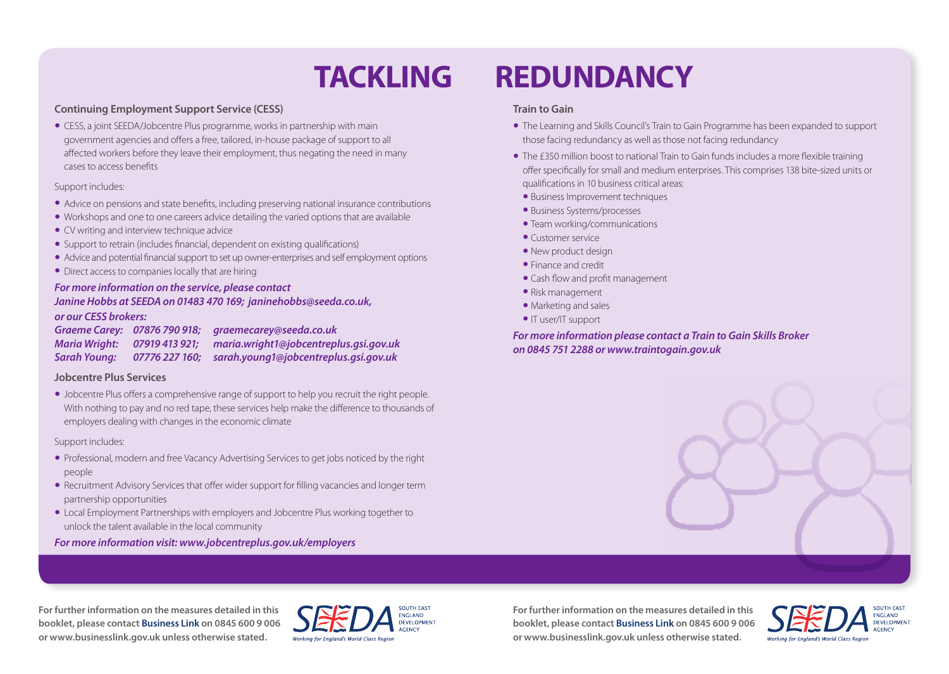### **Continuing Employment Support Service (CESS)**

• CESS, a joint SEEDA/Jobcentre Plus programme, works in partnership with main government agencies and offers a free, tailored, in-house package of support to all affected workers before they leave their employment, thus negating the need in many cases to access benefits

### Support includes:

- • Advice on pensions and state benefits, including preserving national insurance contributions
- • Workshops and one to one careers advice detailing the varied options that are available
- CV writing and interview technique advice
- Support to retrain (includes financial, dependent on existing qualifications)
- Advice and potential financial support to set up owner-enterprises and self employment options
- Direct access to companies locally that are hiring

### *For more information on the service, please contact*

### *Janine Hobbs at SEEDA on 01483 470 169; janinehobbs@seeda.co.uk, or our CESS brokers:*

|              | Graeme Carey: 07876 790 918; graemecarey@seeda.co.uk                |
|--------------|---------------------------------------------------------------------|
|              | Maria Wright: 07919 413 921; maria.wright1@jobcentreplus.gsi.gov.uk |
| Sarah Young: | 07776 227 160; sarah.young1@jobcentreplus.gsi.gov.uk                |

### **Jobcentre Plus Services**

• Jobcentre Plus offers a comprehensive range of support to help you recruit the right people. With nothing to pay and no red tape, these services help make the difference to thousands of employers dealing with changes in the economic climate

### Support includes:

- • Professional, modern and free Vacancy Advertising Services to get jobs noticed by the right people
- Recruitment Advisory Services that offer wider support for filling vacancies and longer term partnership opportunities
- Local Employment Partnerships with employers and Jobcentre Plus working together to unlock the talent available in the local community

### *For more information visit: www.jobcentreplus.gov.uk/employers*

## **TACKLING REDUNDANCY**

### **Train to Gain**

- The Learning and Skills Council's Train to Gain Programme has been expanded to support those facing redundancy as well as those not facing redundancy
- The £350 million boost to national Train to Gain funds includes a more flexible training offer specifically for small and medium enterprises. This comprises 138 bite-sized units or qualifications in 10 business critical areas:
- Business Improvement techniques
- Business Systems/processes
- Team working/communications
- Customer service
- New product design
- Finance and credit
- Cash flow and profit management
- Risk management
- Marketing and sales
- IT user/IT support

*For more information please contact a Train to Gain Skills Broker on 0845 751 2288 or www.traintogain.gov.uk*

**For further information on the measures detailed in this booklet, please contact Business Link on 0845 600 9 006 or www.businesslink.gov.uk unless otherwise stated.**